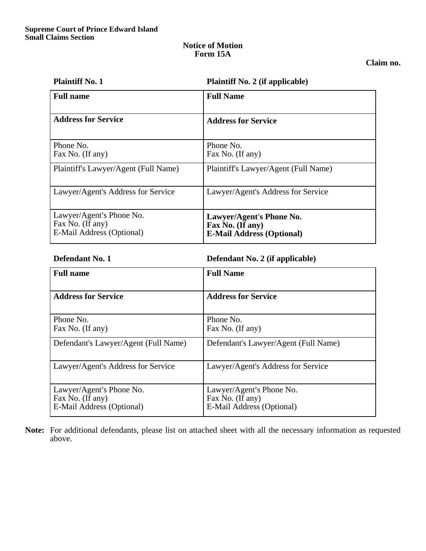### **Notice of Motion Form 15A**

# **Claim no.**

| <b>Plaintiff No. 1</b>                                                    | <b>Plaintiff No. 2 (if applicable)</b>                                           |
|---------------------------------------------------------------------------|----------------------------------------------------------------------------------|
| <b>Full name</b>                                                          | <b>Full Name</b>                                                                 |
| <b>Address for Service</b>                                                | <b>Address for Service</b>                                                       |
| Phone No.<br>Fax No. (If any)                                             | Phone No.<br>Fax No. (If any)                                                    |
| Plaintiff's Lawyer/Agent (Full Name)                                      | Plaintiff's Lawyer/Agent (Full Name)                                             |
| Lawyer/Agent's Address for Service                                        | Lawyer/Agent's Address for Service                                               |
| Lawyer/Agent's Phone No.<br>Fax No. (If any)<br>E-Mail Address (Optional) | Lawyer/Agent's Phone No.<br>Fax No. (If any)<br><b>E-Mail Address (Optional)</b> |

**Defendant No. 1 Defendant No. 2 (if applicable)** 

| <b>Full name</b>                                                          | <b>Full Name</b>                                                          |
|---------------------------------------------------------------------------|---------------------------------------------------------------------------|
| <b>Address for Service</b>                                                | <b>Address for Service</b>                                                |
| Phone No.<br>Fax No. (If any)                                             | Phone No.<br>Fax No. (If any)                                             |
| Defendant's Lawyer/Agent (Full Name)                                      | Defendant's Lawyer/Agent (Full Name)                                      |
| Lawyer/Agent's Address for Service                                        | Lawyer/Agent's Address for Service                                        |
| Lawyer/Agent's Phone No.<br>Fax No. (If any)<br>E-Mail Address (Optional) | Lawyer/Agent's Phone No.<br>Fax No. (If any)<br>E-Mail Address (Optional) |

**Note:** For additional defendants, please list on attached sheet with all the necessary information as requested above.